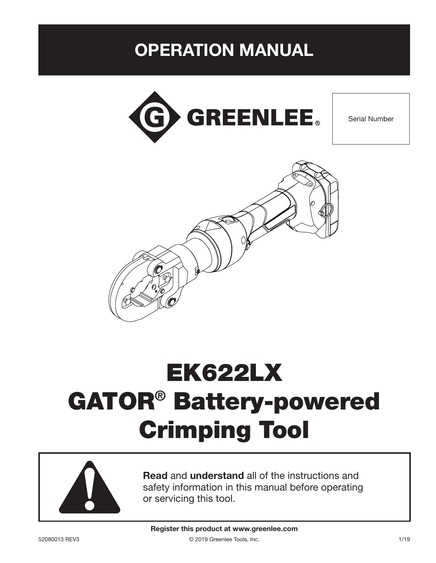# OPERATION MANUAL



Serial Number



# EK622LX GATOR® Battery-powered Crimping Tool



Read and understand all of the instructions and safety information in this manual before operating or servicing this tool.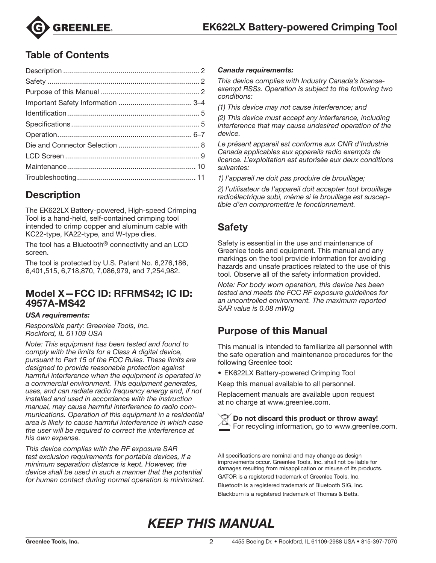

### Table of Contents

### **Description**

The EK622LX Battery-powered, High-speed Crimping Tool is a hand-held, self-contained crimping tool intended to crimp copper and aluminum cable with KC22-type, KA22-type, and W-type dies.

The tool has a Bluetooth® connectivity and an LCD screen.

The tool is protected by U.S. Patent No. 6,276,186, 6,401,515, 6,718,870, 7,086,979, and 7,254,982.

### Model X—FCC ID: RFRMS42; IC ID: 4957A-MS42

#### *USA requirements:*

*Responsible party: Greenlee Tools, Inc. Rockford, IL 61109 USA*

*Note: This equipment has been tested and found to comply with the limits for a Class A digital device, pursuant to Part 15 of the FCC Rules. These limits are designed to provide reasonable protection against harmful interference when the equipment is operated in a commercial environment. This equipment generates, uses, and can radiate radio frequency energy and, if not installed and used in accordance with the instruction manual, may cause harmful interference to radio communications. Operation of this equipment in a residential area is likely to cause harmful interference in which case the user will be required to correct the interference at his own expense.*

*This device complies with the RF exposure SAR test exclusion requirements for portable devices, if a minimum separation distance is kept. However, the device shall be used in such a manner that the potential for human contact during normal operation is minimized.*

#### *Canada requirements:*

*This device complies with Industry Canada's licenseexempt RSSs. Operation is subject to the following two conditions:*

*(1) This device may not cause interference; and*

*(2) This device must accept any interference, including interference that may cause undesired operation of the device.*

*Le présent appareil est conforme aux CNR d'Industrie Canada applicables aux appareils radio exempts de licence. L'exploitation est autorisée aux deux conditions suivantes:*

*1) l'appareil ne doit pas produire de brouillage;*

*2) l'utilisateur de l'appareil doit accepter tout brouillage radioélectrique subi, même si le brouillage est susceptible d'en compromettre le fonctionnement.*

### Safety

Safety is essential in the use and maintenance of Greenlee tools and equipment. This manual and any markings on the tool provide information for avoiding hazards and unsafe practices related to the use of this tool. Observe all of the safety information provided.

*Note: For body worn operation, this device has been tested and meets the FCC RF exposure guidelines for an uncontrolled environment. The maximum reported SAR value is 0.08 mW/g*

### Purpose of this Manual

This manual is intended to familiarize all personnel with the safe operation and maintenance procedures for the following Greenlee tool:

• EK622LX Battery-powered Crimping Tool

Keep this manual available to all personnel.

Replacement manuals are available upon request at no charge at www.greenlee.com.



Do not discard this product or throw away! For recycling information, go to www.greenlee.com.

All specifications are nominal and may change as design improvements occur. Greenlee Tools, Inc. shall not be liable for damages resulting from misapplication or misuse of its products. GATOR is a registered trademark of Greenlee Tools, Inc. Bluetooth is a registered trademark of Bluetooth SIG, Inc. Blackburn is a registered trademark of Thomas & Betts.

# *KEEP THIS MANUAL*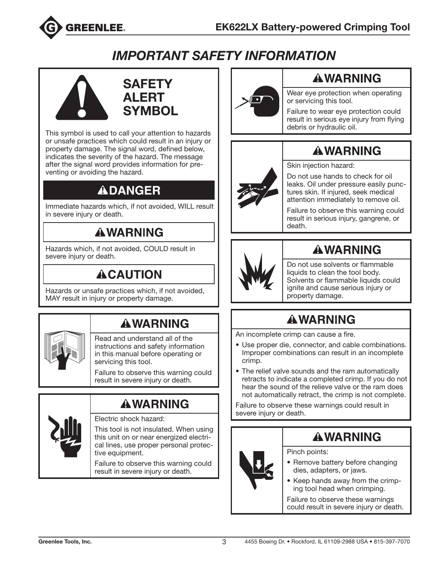

# *IMPORTANT SAFETY INFORMATION*



### **SAFETY** ALERT **SYMBOL**

This symbol is used to call your attention to hazards or unsafe practices which could result in an injury or property damage. The signal word, defined below, indicates the severity of the hazard. The message after the signal word provides information for preventing or avoiding the hazard.

# **ADANGER**

Immediate hazards which, if not avoided, WILL result in severe injury or death.

# **AWARNING**

Hazards which, if not avoided, COULD result in severe injury or death.

# **ACAUTION**

Hazards or unsafe practices which, if not avoided, MAY result in injury or property damage.

# **AWARNING**

Read and understand all of the instructions and safety information in this manual before operating or servicing this tool.

Failure to observe this warning could result in severe injury or death.

# **AWARNING**



#### Electric shock hazard:

This tool is not insulated. When using this unit on or near energized electrical lines, use proper personal protective equipment.

Failure to observe this warning could result in severe injury or death.



### **AWARNING**

Wear eye protection when operating or servicing this tool.

Failure to wear eye protection could result in serious eye injury from flying debris or hydraulic oil.

# **AWARNING**



Skin injection hazard:

Do not use hands to check for oil leaks. Oil under pressure easily punctures skin. If injured, seek medical attention immediately to remove oil.

Failure to observe this warning could result in serious injury, gangrene, or death.



# **AWARNING**

Do not use solvents or flammable liquids to clean the tool body. Solvents or flammable liquids could ignite and cause serious injury or property damage.

# **AWARNING**

An incomplete crimp can cause a fire.

- Use proper die, connector, and cable combinations. Improper combinations can result in an incomplete crimp.
- The relief valve sounds and the ram automatically retracts to indicate a completed crimp. If you do not hear the sound of the relieve valve or the ram does not automatically retract, the crimp is not complete.

Failure to observe these warnings could result in severe injury or death.

# **AWARNING**

Pinch points:

- Remove battery before changing dies, adapters, or jaws.
- Keep hands away from the crimping tool head when crimping.

Failure to observe these warnings could result in severe injury or death.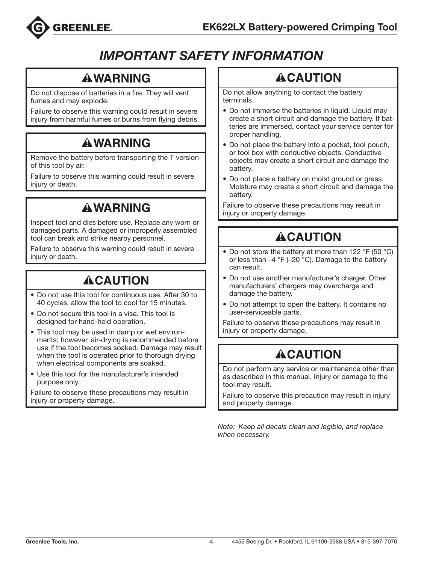

# *IMPORTANT SAFETY INFORMATION*

### **AWARNING**

Do not dispose of batteries in a fire. They will vent fumes and may explode.

Failure to observe this warning could result in severe injury from harmful fumes or burns from flying debris.

# **AWARNING**

Remove the battery before transporting the T version of this tool by air.

Failure to observe this warning could result in severe injury or death.

# **AWARNING**

Inspect tool and dies before use. Replace any worn or damaged parts. A damaged or improperly assembled tool can break and strike nearby personnel.

Failure to observe this warning could result in severe injury or death.

# **ACAUTION**

- Do not use this tool for continuous use. After 30 to 40 cycles, allow the tool to cool for 15 minutes.
- Do not secure this tool in a vise. This tool is designed for hand-held operation.
- This tool may be used in damp or wet environments; however, air-drying is recommended before use if the tool becomes soaked. Damage may result when the tool is operated prior to thorough drying when electrical components are soaked.
- Use this tool for the manufacturer's intended purpose only.

Failure to observe these precautions may result in injury or property damage.

# **ACAUTION**

Do not allow anything to contact the battery terminals.

- Do not immerse the batteries in liquid. Liquid may create a short circuit and damage the battery. If batteries are immersed, contact your service center for proper handling.
- Do not place the battery into a pocket, tool pouch, or tool box with conductive objects. Conductive objects may create a short circuit and damage the battery.
- Do not place a battery on moist ground or grass. Moisture may create a short circuit and damage the battery.

Failure to observe these precautions may result in injury or property damage.

# **ACAUTION**

- Do not store the battery at more than 122 °F (50 °C) or less than  $-4$  °F (-20 °C). Damage to the battery can result.
- Do not use another manufacturer's charger. Other manufacturers' chargers may overcharge and damage the battery.
- Do not attempt to open the battery. It contains no user-serviceable parts.

Failure to observe these precautions may result in injury or property damage.

# **ACAUTION**

Do not perform any service or maintenance other than as described in this manual. Injury or damage to the tool may result.

Failure to observe this precaution may result in injury and property damage.

*Note: Keep all decals clean and legible, and replace when necessary.*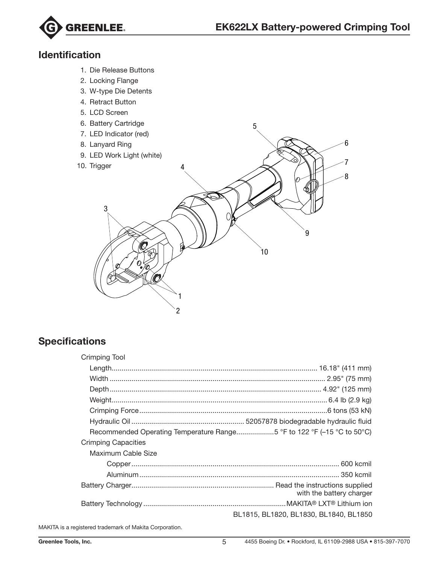

### Identification

- 1. Die Release Buttons
- 2. Locking Flange
- 3. W-type Die Detents
- 4. Retract Button
- 5. LCD Screen
- 6. Battery Cartridge
- 7. LED Indicator (red)
- 8. Lanyard Ring
- 9. LED Work Light (white)
- 10. Trigger



5

### **Specifications**

| <b>Crimping Tool</b>                                                   |                                        |
|------------------------------------------------------------------------|----------------------------------------|
|                                                                        |                                        |
|                                                                        |                                        |
|                                                                        |                                        |
|                                                                        |                                        |
|                                                                        |                                        |
|                                                                        |                                        |
| Recommended Operating Temperature Range5 °F to 122 °F (-15 °C to 50°C) |                                        |
| <b>Crimping Capacities</b>                                             |                                        |
| Maximum Cable Size                                                     |                                        |
|                                                                        |                                        |
|                                                                        |                                        |
|                                                                        |                                        |
|                                                                        | with the battery charger               |
|                                                                        |                                        |
|                                                                        | BL1815, BL1820, BL1830, BL1840, BL1850 |

MAKITA is a registered trademark of Makita Corporation.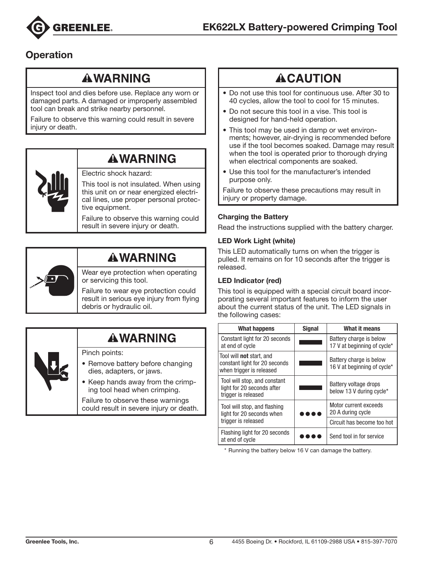

### **Operation**

### **AWARNING**

Inspect tool and dies before use. Replace any worn or damaged parts. A damaged or improperly assembled tool can break and strike nearby personnel.

Failure to observe this warning could result in severe injury or death.

### **AWARNING**

#### Electric shock hazard:

This tool is not insulated. When using this unit on or near energized electrical lines, use proper personal protective equipment.

Failure to observe this warning could result in severe injury or death.



### **AWARNING**

Wear eye protection when operating or servicing this tool.

Failure to wear eye protection could result in serious eye injury from flying debris or hydraulic oil.

### **AWARNING**

Pinch points:

- Remove battery before changing dies, adapters, or jaws.
- Keep hands away from the crimping tool head when crimping.

Failure to observe these warnings could result in severe injury or death.

# **ACAUTION**

- Do not use this tool for continuous use. After 30 to 40 cycles, allow the tool to cool for 15 minutes.
- Do not secure this tool in a vise. This tool is designed for hand-held operation.
- This tool may be used in damp or wet environments; however, air-drying is recommended before use if the tool becomes soaked. Damage may result when the tool is operated prior to thorough drying when electrical components are soaked.
- Use this tool for the manufacturer's intended purpose only.

Failure to observe these precautions may result in injury or property damage.

#### Charging the Battery

Read the instructions supplied with the battery charger.

#### LED Work Light (white)

This LED automatically turns on when the trigger is pulled. It remains on for 10 seconds after the trigger is released.

#### LED Indicator (red)

This tool is equipped with a special circuit board incorporating several important features to inform the user about the current status of the unit. The LED signals in the following cases:

| <b>What happens</b>                                                                          | <b>Signal</b> | What it means                                          |
|----------------------------------------------------------------------------------------------|---------------|--------------------------------------------------------|
| Constant light for 20 seconds<br>at end of cycle                                             |               | Battery charge is below<br>17 V at beginning of cycle* |
| Tool will <b>not</b> start, and<br>constant light for 20 seconds<br>when trigger is released |               | Battery charge is below<br>16 V at beginning of cycle* |
| Tool will stop, and constant<br>light for 20 seconds after<br>trigger is released            |               | Battery voltage drops<br>below 13 V during cycle*      |
| Tool will stop, and flashing<br>light for 20 seconds when                                    |               | Motor current exceeds<br>20 A during cycle             |
| trigger is released                                                                          |               | Circuit has become too hot                             |
| Flashing light for 20 seconds<br>at end of cycle                                             |               | Send tool in for service                               |

\* Running the battery below 16 V can damage the battery.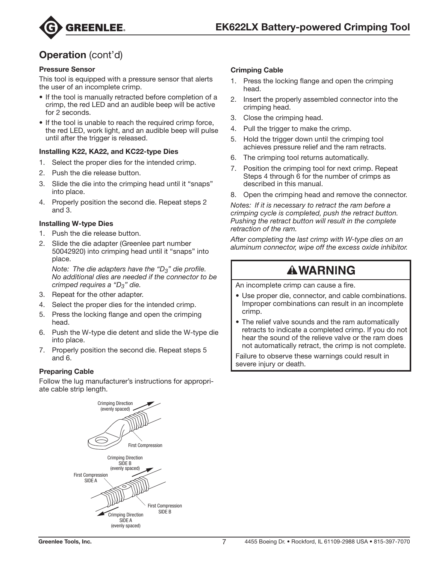

### **Operation** (cont'd)

#### Pressure Sensor

This tool is equipped with a pressure sensor that alerts the user of an incomplete crimp.

- If the tool is manually retracted before completion of a crimp, the red LED and an audible beep will be active for 2 seconds.
- If the tool is unable to reach the required crimp force, the red LED, work light, and an audible beep will pulse until after the trigger is released.

#### Installing K22, KA22, and KC22-type Dies

- 1. Select the proper dies for the intended crimp.
- 2. Push the die release button.
- 3. Slide the die into the crimping head until it "snaps" into place.
- 4. Properly position the second die. Repeat steps 2 and 3.

#### Installing W-type Dies

- 1. Push the die release button.
- 2. Slide the die adapter (Greenlee part number 50042920) into crimping head until it "snaps" into place.

*Note: The die adapters have the "D3" die profile. No additional dies are needed if the connector to be crimped requires a "D3" die.*

- 3. Repeat for the other adapter.
- 4. Select the proper dies for the intended crimp.
- 5. Press the locking flange and open the crimping head.
- 6. Push the W-type die detent and slide the W-type die into place.
- 7. Properly position the second die. Repeat steps 5 and 6.

#### Preparing Cable

Follow the lug manufacturer's instructions for appropriate cable strip length.



#### Crimping Cable

- 1. Press the locking flange and open the crimping head.
- 2. Insert the properly assembled connector into the crimping head.
- 3. Close the crimping head.
- 4. Pull the trigger to make the crimp.
- 5. Hold the trigger down until the crimping tool achieves pressure relief and the ram retracts.
- 6. The crimping tool returns automatically.
- 7. Position the crimping tool for next crimp. Repeat Steps 4 through 6 for the number of crimps as described in this manual.
- 8. Open the crimping head and remove the connector.

*Notes: If it is necessary to retract the ram before a crimping cycle is completed, push the retract button. Pushing the retract button will result in the complete retraction of the ram.*

*After completing the last crimp with W-type dies on an aluminum connector, wipe off the excess oxide inhibitor.*

### **AWARNING**

An incomplete crimp can cause a fire.

- Use proper die, connector, and cable combinations. Improper combinations can result in an incomplete crimp.
- The relief valve sounds and the ram automatically retracts to indicate a completed crimp. If you do not hear the sound of the relieve valve or the ram does not automatically retract, the crimp is not complete.

Failure to observe these warnings could result in severe injury or death.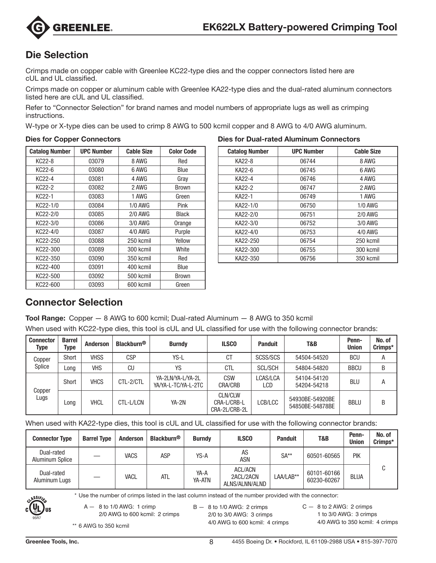

### Die Selection

Crimps made on copper cable with Greenlee KC22-type dies and the copper connectors listed here are cUL and UL classified.

Crimps made on copper or aluminum cable with Greenlee KA22-type dies and the dual-rated aluminum connectors listed here are cUL and UL classified.

Refer to "Connector Selection" for brand names and model numbers of appropriate lugs as well as crimping instructions.

W-type or X-type dies can be used to crimp 8 AWG to 500 kcmil copper and 8 AWG to 4/0 AWG aluminum.

#### Dies for Copper Connectors

| <b>Catalog Number</b> | <b>UPC Number</b> | <b>Cable Size</b> | <b>Color Code</b> |
|-----------------------|-------------------|-------------------|-------------------|
| KC22-8                | 03079             | 8 AWG             | Red               |
| KC22-6                | 03080             | 6 AWG             | Blue              |
| KC22-4                | 03081             | 4 AWG             | Gray              |
| KC22-2                | 03082             | 2 AWG             | <b>Brown</b>      |
| KC <sub>22</sub> -1   | 03083             | 1 AWG             | Green             |
| KC22-1/0              | 03084             | $1/0$ AWG         | Pink              |
| KC22-2/0              | 03085             | $2/0$ AWG         | <b>Black</b>      |
| KC22-3/0              | 03086             | 3/0 AWG           | Orange            |
| KC22-4/0              | 03087             | 4/0 AWG           | Purple            |
| KC22-250              | 03088             | 250 kcmil         | Yellow            |
| KC22-300              | 03089             | 300 kcmil         | White             |
| KC22-350              | 03090             | 350 kcmil         | Red               |
| KC22-400              | 03091             | 400 kcmil         | Blue              |
| KC22-500              | 03092             | 500 kcmil         | <b>Brown</b>      |
| KC22-600              | 03093             | 600 kcmil         | Green             |

|  | <b>Dies for Dual-rated Aluminum Connectors</b> |
|--|------------------------------------------------|
|  |                                                |

| <b>Catalog Number</b> | <b>UPC Number</b> | <b>Cable Size</b> |
|-----------------------|-------------------|-------------------|
| KA22-8                | 06744             | 8 AWG             |
| KA22-6                | 06745             | 6 AWG             |
| KA22-4                | 06746             | 4 AWG             |
| KA22-2                | 06747             | 2 AWG             |
| KA22-1                | 06749             | 1 AWG             |
| KA22-1/0              | 06750             | $1/0$ AWG         |
| KA22-2/0              | 06751             | $2/0$ AWG         |
| KA22-3/0              | 06752             | 3/0 AWG           |
| KA22-4/0              | 06753             | 4/0 AWG           |
| KA22-250              | 06754             | 250 kcmil         |
| KA22-300              | 06755             | 300 kcmil         |
| KA22-350              | 06756             | 350 kcmil         |

### Connector Selection

Tool Range: Copper — 8 AWG to 600 kcmil; Dual-rated Aluminum — 8 AWG to 350 kcmil

When used with KC22-type dies, this tool is cUL and UL classified for use with the following connector brands:

| <b>Connector</b><br>Type | <b>Barrel</b><br>Type | <b>Anderson</b> | <b>Blackburn<sup>®</sup></b> | <b>Burndy</b>                            | <b>ILSCO</b>                                   | <b>Panduit</b>  | T&B                                | Penn-<br><b>Union</b> | No. of<br>Crimps* |
|--------------------------|-----------------------|-----------------|------------------------------|------------------------------------------|------------------------------------------------|-----------------|------------------------------------|-----------------------|-------------------|
| Copper                   | Short                 | <b>VHSS</b>     | <b>CSP</b>                   | YS-L                                     | СT                                             | SCSS/SCS        | 54504-54520                        | <b>BCU</b>            | А                 |
| Splice                   | Long                  | <b>VHS</b>      | CU                           | YS                                       | CTL                                            | <b>SCL/SCH</b>  | 54804-54820                        | <b>BBCU</b>           | B                 |
|                          | Short                 | <b>VHCS</b>     | CTL-2/CTL                    | YA-2LN/YA-L/YA-2L<br>YA/YA-L-TC/YA-L-2TC | <b>CSW</b><br><b>CRA/CRB</b>                   | LCAS/LCA<br>LCD | 54104-54120<br>54204-54218         | <b>BLU</b>            | А                 |
| Copper<br>Lugs           | Long                  | <b>VHCL</b>     | CTL-L/LCN                    | YA-2N                                    | <b>CLN/CLW</b><br>CRA-L/CRB-L<br>CRA-2L/CRB-2L | LCB/LCC         | 54930BE-54920BE<br>54850BE-54878BE | <b>BBLU</b>           | В                 |

When used with KA22-type dies, this tool is cUL and UL classified for use with the following connector brands:

| <b>Connector Type</b>         | <b>Barrel Type</b> | <b>Anderson</b> | <b>Blackburn<sup>®</sup></b> | <b>Burndy</b>  | <b>ILSCO</b>                                  | <b>Panduit</b> | T&B                        | Penn-<br><b>Union</b> | No. of<br>Crimps* |
|-------------------------------|--------------------|-----------------|------------------------------|----------------|-----------------------------------------------|----------------|----------------------------|-----------------------|-------------------|
| Dual-rated<br>Aluminum Splice |                    | <b>VACS</b>     | ASP                          | YS-A           | AS<br><b>ASN</b>                              | $SA**$         | 60501-60565                | PIK                   |                   |
| Dual-rated<br>Aluminum Lugs   |                    | <b>VACL</b>     | ATL                          | YA-A<br>YA-ATN | <b>ACL/ACN</b><br>2ACL/2ACN<br>ALNS/ALNN/ALND | LAA/LAB**      | 60101-60166<br>60230-60267 | <b>BLUA</b>           |                   |

\* Use the number of crimps listed in the last column instead of the number provided with the connector:



A — 8 to 1/0 AWG: 1 crimp

2/0 AWG to 600 kcmil: 2 crimps

 $B - 8$  to 1/0 AWG: 2 crimps 2/0 to 3/0 AWG: 3 crimps 4/0 AWG to 600 kcmil: 4 crimps  $C - 8$  to 2 AWG: 2 crimps 1 to 3/0 AWG: 3 crimps 4/0 AWG to 350 kcmil: 4 crimps

\*\* 6 AWG to 350 kcmil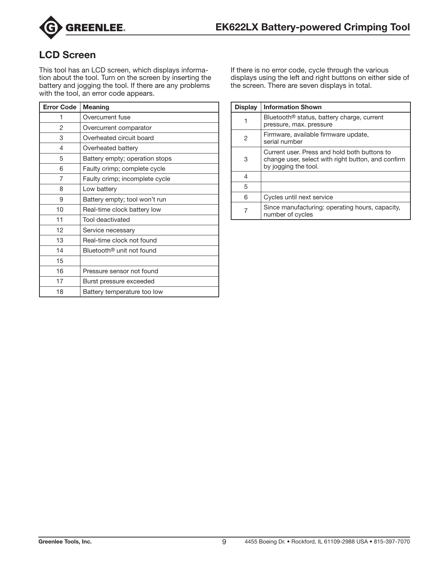

### LCD Screen

This tool has an LCD screen, which displays information about the tool. Turn on the screen by inserting the battery and jogging the tool. If there are any problems with the tool, an error code appears.

| <b>Error Code</b> | <b>Meaning</b>                        |
|-------------------|---------------------------------------|
| 1                 | Overcurrent fuse                      |
| 2                 | Overcurrent comparator                |
| 3                 | Overheated circuit board              |
| 4                 | Overheated battery                    |
| 5                 | Battery empty; operation stops        |
| 6                 | Faulty crimp; complete cycle          |
| 7                 | Faulty crimp; incomplete cycle        |
| 8                 | Low battery                           |
| 9                 | Battery empty; tool won't run         |
| 10                | Real-time clock battery low           |
| 11                | Tool deactivated                      |
| 12                | Service necessary                     |
| 13                | Real-time clock not found             |
| 14                | Bluetooth <sup>®</sup> unit not found |
| 15                |                                       |
| 16                | Pressure sensor not found             |
| 17                | Burst pressure exceeded               |
| 18                | Battery temperature too low           |

If there is no error code, cycle through the various displays using the left and right buttons on either side of the screen. There are seven displays in total.

| <b>Display</b> | <b>Information Shown</b>                                                                                                   |
|----------------|----------------------------------------------------------------------------------------------------------------------------|
|                | Bluetooth® status, battery charge, current<br>pressure, max. pressure                                                      |
| 2              | Firmware, available firmware update,<br>serial number                                                                      |
| 3              | Current user. Press and hold both buttons to<br>change user, select with right button, and confirm<br>by jogging the tool. |
| 4              |                                                                                                                            |
| 5              |                                                                                                                            |
| 6              | Cycles until next service                                                                                                  |
|                | Since manufacturing: operating hours, capacity,<br>number of cycles                                                        |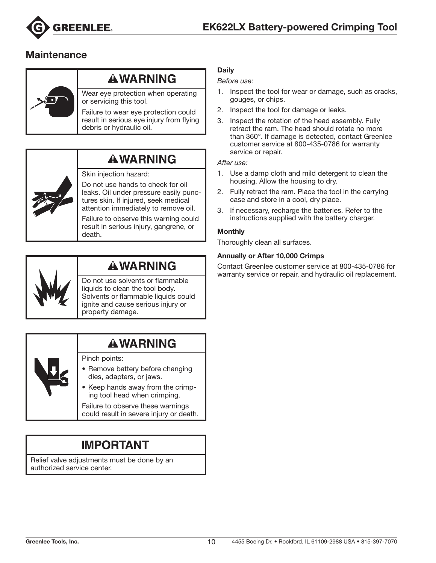

### **Maintenance**



### **AWARNING**

Wear eye protection when operating or servicing this tool.

Failure to wear eye protection could result in serious eye injury from flying debris or hydraulic oil.



### **AWARNING**

#### Skin injection hazard:

Do not use hands to check for oil leaks. Oil under pressure easily punctures skin. If injured, seek medical attention immediately to remove oil.

Failure to observe this warning could result in serious injury, gangrene, or death.



### **AWARNING**

Do not use solvents or flammable liquids to clean the tool body. Solvents or flammable liquids could ignite and cause serious injury or property damage.

# Pinch points:

- Remove battery before changing dies, adapters, or jaws.
- Keep hands away from the crimping tool head when crimping.

Failure to observe these warnings could result in severe injury or death.

# **IMPORTANT**

Relief valve adjustments must be done by an authorized service center.

#### **Daily**

#### *Before use:*

- 1. Inspect the tool for wear or damage, such as cracks, gouges, or chips.
- 2. Inspect the tool for damage or leaks.
- 3. Inspect the rotation of the head assembly. Fully retract the ram. The head should rotate no more than 360°. If damage is detected, contact Greenlee customer service at 800-435-0786 for warranty service or repair.

*After use:*

- 1. Use a damp cloth and mild detergent to clean the housing. Allow the housing to dry.
- 2. Fully retract the ram. Place the tool in the carrying case and store in a cool, dry place.
- 3. If necessary, recharge the batteries. Refer to the instructions supplied with the battery charger.

#### **Monthly**

Thoroughly clean all surfaces.

#### Annually or After 10,000 Crimps

Contact Greenlee customer service at 800-435-0786 for warranty service or repair, and hydraulic oil replacement.

**AWARNING**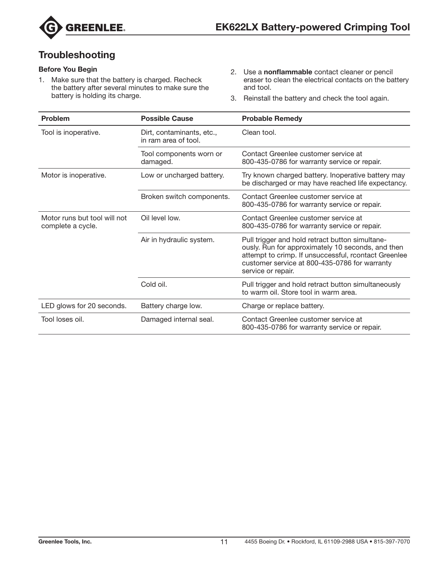

### **Troubleshooting**

#### Before You Begin

- 1. Make sure that the battery is charged. Recheck the battery after several minutes to make sure the battery is holding its charge.
- 2. Use a nonflammable contact cleaner or pencil eraser to clean the electrical contacts on the battery and tool.
- 3. Reinstall the battery and check the tool again.

| <b>Problem</b>                                    | <b>Possible Cause</b>                             | <b>Probable Remedy</b>                                                                                                                                                                                                              |
|---------------------------------------------------|---------------------------------------------------|-------------------------------------------------------------------------------------------------------------------------------------------------------------------------------------------------------------------------------------|
| Tool is inoperative.                              | Dirt, contaminants, etc.,<br>in ram area of tool. | Clean tool.                                                                                                                                                                                                                         |
|                                                   | Tool components worn or<br>damaged.               | Contact Greenlee customer service at<br>800-435-0786 for warranty service or repair.                                                                                                                                                |
| Motor is inoperative.                             | Low or uncharged battery.                         | Try known charged battery. Inoperative battery may<br>be discharged or may have reached life expectancy.                                                                                                                            |
|                                                   | Broken switch components.                         | Contact Greenlee customer service at<br>800-435-0786 for warranty service or repair.                                                                                                                                                |
| Motor runs but tool will not<br>complete a cycle. | Oil level low.                                    | Contact Greenlee customer service at<br>800-435-0786 for warranty service or repair.                                                                                                                                                |
|                                                   | Air in hydraulic system.                          | Pull trigger and hold retract button simultane-<br>ously. Run for approximately 10 seconds, and then<br>attempt to crimp. If unsuccessful, rcontact Greenlee<br>customer service at 800-435-0786 for warranty<br>service or repair. |
|                                                   | Cold oil.                                         | Pull trigger and hold retract button simultaneously<br>to warm oil. Store tool in warm area.                                                                                                                                        |
| LED glows for 20 seconds.                         | Battery charge low.                               | Charge or replace battery.                                                                                                                                                                                                          |
| Tool loses oil.                                   | Damaged internal seal.                            | Contact Greenlee customer service at<br>800-435-0786 for warranty service or repair.                                                                                                                                                |